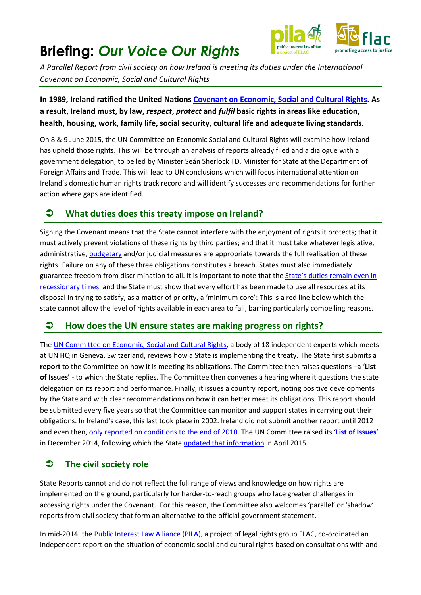# **Briefing:** *Our Voice Our Rights*



*A Parallel Report from civil society on how Ireland is meeting its duties under the International Covenant on Economic, Social and Cultural Rights*

**In 1989, Ireland ratified the United Nations [Covenant on Economic, Social and Cultural Rights.](http://www.ohchr.org/EN/ProfessionalInterest/Pages/CESCR.aspx) As a result, Ireland must, by law,** *respect***,** *protect* **and** *fulfil* **basic rights in areas like education, health, housing, work, family life, social security, cultural life and adequate living standards.**

On 8 & 9 June 2015, the UN Committee on Economic Social and Cultural Rights will examine how Ireland has upheld those rights. This will be through an analysis of reports already filed and a dialogue with a government delegation, to be led by Minister Seán Sherlock TD, Minister for State at the Department of Foreign Affairs and Trade. This will lead to UN conclusions which will focus international attention on Ireland's domestic human rights track record and will identify successes and recommendations for further action where gaps are identified.

# **What duties does this treaty impose on Ireland?**

Signing the Covenant means that the State cannot interfere with the enjoyment of rights it protects; that it must actively prevent violations of these rights by third parties; and that it must take whatever legislative, administrative, [budgetary](http://www.flac.ie/download/pdf/flac_briefing_on_human_rights_approach_to_budgeting.pdf) and/or judicial measures are appropriate towards the full realisation of these rights. Failure on any of these three obligations constitutes a breach. States must also immediately guarantee freedom from discrimination to all. It is important to note that the [State's duties remain even in](http://www.flac.ie/download/pdf/maintaining_rights_in_a_recession_final_27_july_2011.pdf)  [recessionary times](http://www.flac.ie/download/pdf/maintaining_rights_in_a_recession_final_27_july_2011.pdf) and the State must show that every effort has been made to use all resources at its disposal in trying to satisfy, as a matter of priority, a 'minimum core': This is a red line below which the state cannot allow the level of rights available in each area to fall, barring particularly compelling reasons.

## **How does the UN ensure states are making progress on rights?**

The [UN Committee on Economic, Social and Cultural Rights,](http://www.ohchr.org/en/hrbodies/cescr/pages/cescrindex.aspx) a body of 18 independent experts which meets at UN HQ in Geneva, Switzerland, reviews how a State is implementing the treaty. The State first submits a **report** to the Committee on how it is meeting its obligations. The Committee then raises questions –a '**List of Issues'** - to which the State replies. The Committee then convenes a hearing where it questions the state delegation on its report and performance. Finally, it issues a country report, noting positive developments by the State and with clear recommendations on how it can better meet its obligations. This report should be submitted every five years so that the Committee can monitor and support states in carrying out their obligations. In Ireland's case, this last took place in 2002. Ireland did not submit another report until 2012 and even then, [only reported on conditions to the end of 2010.](http://tbinternet.ohchr.org/_layouts/treatybodyexternal/Download.aspx?symbolno=E%2fC.12%2fIRL%2f3&Lang=en) The UN Committee raised its '**[List of Issues'](http://tbinternet.ohchr.org/_layouts/treatybodyexternal/Download.aspx?symbolno=E%2fC.12%2fIRL%2fQ%2f3&Lang=en)** in December 2014, following which the Stat[e updated that information](http://www.ourvoiceourrights.ie/resources/category/irishstate/) in April 2015.

# **The civil society role**

State Reports cannot and do not reflect the full range of views and knowledge on how rights are implemented on the ground, particularly for harder-to-reach groups who face greater challenges in accessing rights under the Covenant. For this reason, the Committee also welcomes 'parallel' or 'shadow' reports from civil society that form an alternative to the official government statement.

In mid-2014, the **Public Interest Law Alliance (PILA)**, a project of legal rights group FLAC, co-ordinated an independent report on the situation of economic social and cultural rights based on consultations with and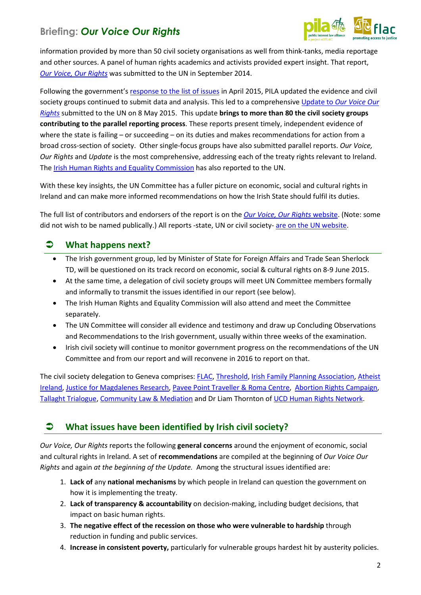# **Briefing:** *Our Voice Our Rights*



information provided by more than 50 civil society organisations as well from think-tanks, media reportage and other sources. A panel of human rights academics and activists provided expert insight. That report, *[Our Voice, Our Rights](http://www.ourvoiceourrights.ie/)* was submitted to the UN in September 2014.

Following the government's response [to the list of issues](http://docstore.ohchr.org/SelfServices/FilesHandler.ashx?enc=4slQ6QSmlBEDzFEovLCuW3%2bG%2fOK6uNgdeoJLsC7Ouk%2fP16ZDYo5AyrD9Ncu%2bTLuftsAH%2bUl9eTdVcA5MXTFsMClnk1y1lzyfQHRR%2f3mLiJdLzpnYjJbs%2b3SSYzXniKMKbROWngUTXTnkYj82qaQATQ%3d%3d) in April 2015, PILA updated the evidence and civil society groups continued to submit data and analysis. This led to a comprehensive Update to *[Our Voice Our](http://www.ourvoiceourrights.ie/resources/update-to-our-voice-our-rights-may-2015/)  [Rights](http://www.ourvoiceourrights.ie/resources/update-to-our-voice-our-rights-may-2015/)* submitted to the UN on 8 May 2015. This update **brings to more than 80 the civil society groups contributing to the parallel reporting process**. These reports present timely, independent evidence of where the state is failing – or succeeding – on its duties and makes recommendations for action from a broad cross-section of society. Other single-focus groups have also submitted parallel reports. *Our Voice, Our Rights* and *Update* is the most comprehensive, addressing each of the treaty rights relevant to Ireland. The Irish Human Rights [and Equality Commission](http://www.ihrec.ie/) has also reported to the UN.

With these key insights, the UN Committee has a fuller picture on economic, social and cultural rights in Ireland and can make more informed recommendations on how the Irish State should fulfil its duties.

The full list of contributors and endorsers of the report is on the *[Our Voice, Our Rights](http://www.ourvoiceourrights.ie/supporters/)* website. (Note: some did not wish to be named publically.) All reports -state, UN or civil society- [are on the UN](http://tbinternet.ohchr.org/_layouts/TreatyBodyExternal/Countries.aspx?CountryCode=IRL&Lang=EN) website.

### **What happens next?**

- The Irish government group, led by Minister of State for Foreign Affairs and Trade Sean Sherlock TD, will be questioned on its track record on economic, social & cultural rights on 8-9 June 2015.
- At the same time, a delegation of civil society groups will meet UN Committee members formally and informally to transmit the issues identified in our report (see below).
- The Irish Human Rights and Equality Commission will also attend and meet the Committee separately.
- The UN Committee will consider all evidence and testimony and draw up Concluding Observations and Recommendations to the Irish government, usually within three weeks of the examination.
- Irish civil society will continue to monitor government progress on the recommendations of the UN Committee and from our report and will reconvene in 2016 to report on that.

The civil society delegation to Geneva comprises[: FLAC,](http://www.flac.ie/) [Threshold,](http://www.threshold.ie/) [Irish Family Planning Association,](https://www.ifpa.ie/) [Atheist](http://www.atheist.ie/)  [Ireland,](http://www.atheist.ie/) [Justice for Magdalenes Research,](http://www.magdalenelaundries.com/) [Pavee Point Traveller & Roma Centre,](http://www.paveepoint.ie/) [Abortion Rights Campaign,](http://www.abortionrightscampaign.ie/) [Tallaght Trialogue,](http://tallatrialogue.blogspot.ie/) [Community Law & Mediation](http://www.communitylawandmediation.ie/) and Dr Liam Thornton of [UCD Human Rights Network.](http://www.ucd.ie/law/research/ucdhumanrightsnetwork/)

## **What issues have been identified by Irish civil society?**

*Our Voice, Our Rights* reports the following **general concerns** around the enjoyment of economic, social and cultural rights in Ireland. A set of **recommendations** are compiled at the beginning of *Our Voice Our Rights* and again *at the beginning of the Update.* Among the structural issues identified are:

- 1. **Lack of** any **national mechanisms** by which people in Ireland can question the government on how it is implementing the treaty.
- 2. **Lack of transparency & accountability** on decision-making, including budget decisions, that impact on basic human rights.
- 3. **The negative effect of the recession on those who were vulnerable to hardship** through reduction in funding and public services.
- 4. **Increase in consistent poverty,** particularly for vulnerable groups hardest hit by austerity policies.